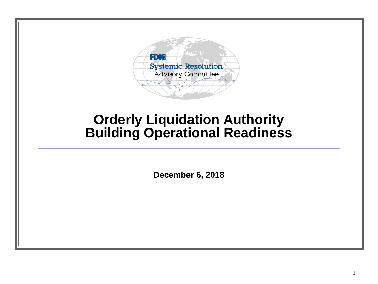

### **Orderly Liquidation Authority Building Operational Readiness**

**December 6, 2018**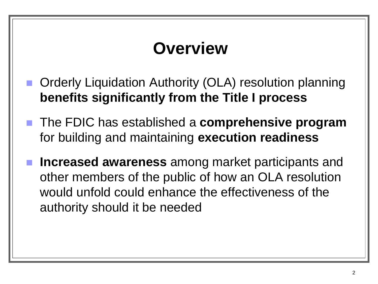## **Overview**

- Orderly Liquidation Authority (OLA) resolution planning **benefits significantly from the Title I process**
- The FDIC has established a **comprehensive program** for building and maintaining **execution readiness**
- **Increased awareness** among market participants and other members of the public of how an OLA resolution would unfold could enhance the effectiveness of the authority should it be needed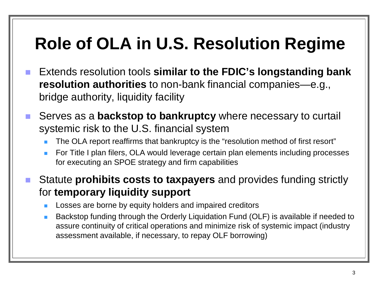## **Role of OLA in U.S. Resolution Regime**

- Extends resolution tools similar to the FDIC's longstanding bank **resolution authorities** to non-bank financial companies—e.g., bridge authority, liquidity facility
- Serves as a **backstop to bankruptcy** where necessary to curtail systemic risk to the U.S. financial system
	- The OLA report reaffirms that bankruptcy is the "resolution method of first resort"
	- For Title I plan filers, OLA would leverage certain plan elements including processes for executing an SPOE strategy and firm capabilities
- Statute **prohibits costs to taxpayers** and provides funding strictly for **temporary liquidity support**
	- Losses are borne by equity holders and impaired creditors
	- Backstop funding through the Orderly Liquidation Fund (OLF) is available if needed to assure continuity of critical operations and minimize risk of systemic impact (industry assessment available, if necessary, to repay OLF borrowing)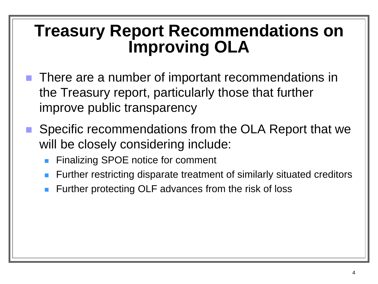### **Treasury Report Recommendations on Improving OLA**

- There are a number of important recommendations in the Treasury report, particularly those that further improve public transparency
- Specific recommendations from the OLA Report that we will be closely considering include:
	- Finalizing SPOE notice for comment
	- Further restricting disparate treatment of similarly situated creditors
	- Further protecting OLF advances from the risk of loss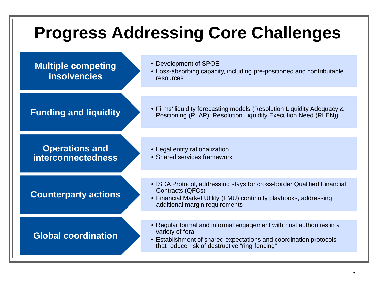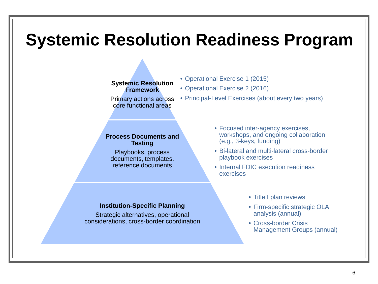### **Systemic Resolution Readiness Program**

#### **Systemic Resolution Framework**

Primary actions across core functional areas

#### **Process Documents and Testing**

Playbooks, process documents, templates, reference documents

• Operational Exercise 1 (2015)

• Operational Exercise 2 (2016)

- Principal-Level Exercises (about every two years)
	- Focused inter-agency exercises, workshops, and ongoing collaboration (e.g., 3-keys, funding)
	- Bi-lateral and multi-lateral cross-border playbook exercises
	- Internal FDIC execution readiness exercises

#### **Institution-Specific Planning**

Strategic alternatives, operational considerations, cross-border coordination

- Title I plan reviews
- Firm-specific strategic OLA analysis (annual)
- Cross-border Crisis Management Groups (annual)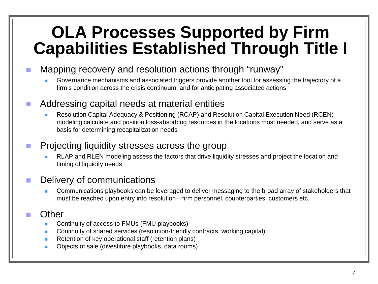## **OLA Processes Supported by Firm Capabilities Established Through Title I**

#### **Mapping recovery and resolution actions through "runway"**

 Governance mechanisms and associated triggers provide another tool for assessing the trajectory of a firm's condition across the crisis continuum, and for anticipating associated actions

#### Addressing capital needs at material entities

 Resolution Capital Adequacy & Positioning (RCAP) and Resolution Capital Execution Need (RCEN) modeling calculate and position loss-absorbing resources in the locations most needed, and serve as a basis for determining recapitalization needs

### **Projecting liquidity stresses across the group**

 RLAP and RLEN modeling assess the factors that drive liquidity stresses and project the location and timing of liquidity needs

### Delivery of communications

 Communications playbooks can be leveraged to deliver messaging to the broad array of stakeholders that must be reached upon entry into resolution—firm personnel, counterparties, customers etc.

#### **Other**

- Continuity of access to FMUs (FMU playbooks)
- Continuity of shared services (resolution-friendly contracts, working capital)
- Retention of key operational staff (retention plans)
- Objects of sale (divestiture playbooks, data rooms)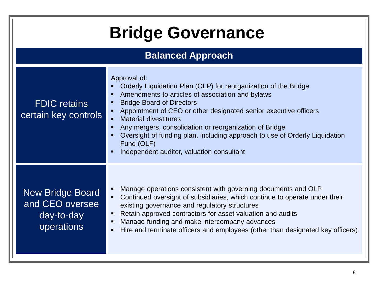| <b>Bridge Governance</b>                                               |                                                                                                                                                                                                                                                                                                                                                                                                                                                                                 |
|------------------------------------------------------------------------|---------------------------------------------------------------------------------------------------------------------------------------------------------------------------------------------------------------------------------------------------------------------------------------------------------------------------------------------------------------------------------------------------------------------------------------------------------------------------------|
| <b>Balanced Approach</b>                                               |                                                                                                                                                                                                                                                                                                                                                                                                                                                                                 |
| <b>FDIC</b> retains<br>certain key controls                            | Approval of:<br>Orderly Liquidation Plan (OLP) for reorganization of the Bridge<br>Amendments to articles of association and bylaws<br><b>Bridge Board of Directors</b><br>Appointment of CEO or other designated senior executive officers<br><b>Material divestitures</b><br>Any mergers, consolidation or reorganization of Bridge<br>Oversight of funding plan, including approach to use of Orderly Liquidation<br>Fund (OLF)<br>Independent auditor, valuation consultant |
| <b>New Bridge Board</b><br>and CEO oversee<br>day-to-day<br>operations | Manage operations consistent with governing documents and OLP<br>Continued oversight of subsidiaries, which continue to operate under their<br>existing governance and regulatory structures<br>Retain approved contractors for asset valuation and audits<br>Manage funding and make intercompany advances<br>Hire and terminate officers and employees (other than designated key officers)                                                                                   |